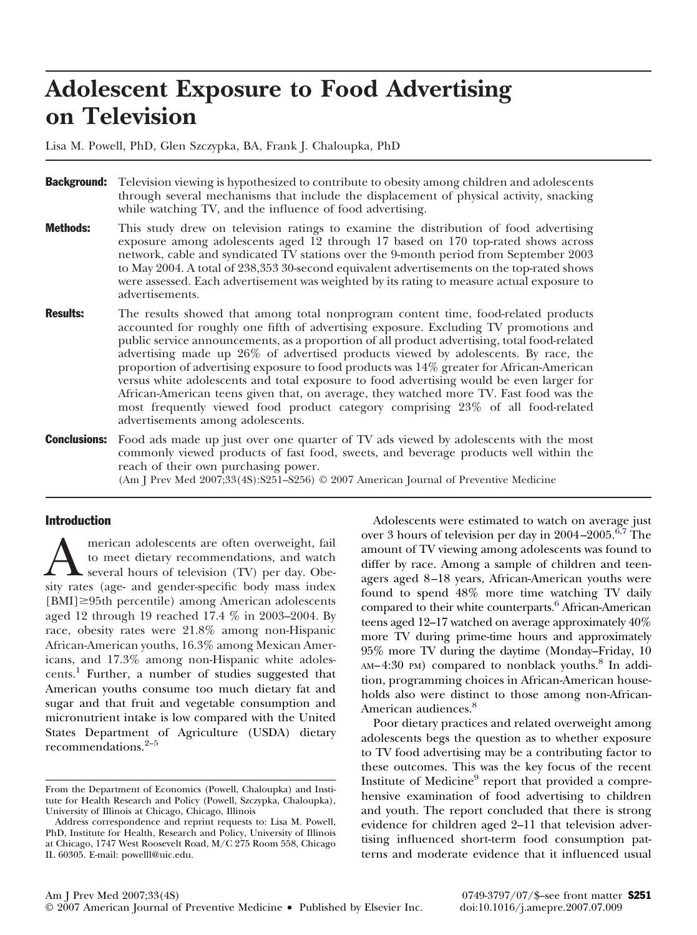# **Adolescent Exposure to Food Advertising on Television**

Lisa M. Powell, PhD, Glen Szczypka, BA, Frank J. Chaloupka, PhD

- **Background:** Television viewing is hypothesized to contribute to obesity among children and adolescents through several mechanisms that include the displacement of physical activity, snacking while watching TV, and the influence of food advertising.
- **Methods:** This study drew on television ratings to examine the distribution of food advertising exposure among adolescents aged 12 through 17 based on 170 top-rated shows across network, cable and syndicated TV stations over the 9-month period from September 2003 to May 2004. A total of 238,353 30-second equivalent advertisements on the top-rated shows were assessed. Each advertisement was weighted by its rating to measure actual exposure to advertisements.
- **Results:** The results showed that among total nonprogram content time, food-related products accounted for roughly one fifth of advertising exposure. Excluding TV promotions and public service announcements, as a proportion of all product advertising, total food-related advertising made up 26% of advertised products viewed by adolescents. By race, the proportion of advertising exposure to food products was 14% greater for African-American versus white adolescents and total exposure to food advertising would be even larger for African-American teens given that, on average, they watched more TV. Fast food was the most frequently viewed food product category comprising 23% of all food-related advertisements among adolescents.
- **Conclusions:** Food ads made up just over one quarter of TV ads viewed by adolescents with the most commonly viewed products of fast food, sweets, and beverage products well within the reach of their own purchasing power.

(Am J Prev Med 2007;33(4S):S251–S256) © 2007 American Journal of Preventive Medicine

#### Introduction

**A** merican adolescents are often overweight, fail to meet dietary recommendations, and watch several hours of television (TV) per day. Obesity rates (age- and gender-specific body mass index to meet dietary recommendations, and watch several hours of television (TV) per day. Obe- $[BMI] \geq 95$ th percentile) among American adolescents aged 12 through 19 reached 17.4 % in 2003–2004. By race, obesity rates were 21.8% among non-Hispanic African-American youths, 16.3% among Mexican Americans, and 17.3% among non-Hispanic white adoles-cents.<sup>[1](#page-5-0)</sup> Further, a number of studies suggested that American youths consume too much dietary fat and sugar and that fruit and vegetable consumption and micronutrient intake is low compared with the United States Department of Agriculture (USDA) dietary recommendations.[2–5](#page-5-0)

Adolescents were estimated to watch on average just over 3 hours of television per day in  $2004 - 2005$ .<sup>[6,7](#page-5-0)</sup> The amount of TV viewing among adolescents was found to differ by race. Among a sample of children and teenagers aged 8 –18 years, African-American youths were found to spend 48% more time watching TV daily compared to their white counterparts.<sup>6</sup> African-American teens aged 12–17 watched on average approximately 40% more TV during prime-time hours and approximately 95% more TV during the daytime (Monday–Friday, 10 AM-4:30 PM) compared to nonblack youths.<sup>[8](#page-5-0)</sup> In addition, programming choices in African-American households also were distinct to those among non-African-American audiences.<sup>[8](#page-5-0)</sup>

Poor dietary practices and related overweight among adolescents begs the question as to whether exposure to TV food advertising may be a contributing factor to these outcomes. This was the key focus of the recent Institute of Medicine $9$  report that provided a comprehensive examination of food advertising to children and youth. The report concluded that there is strong evidence for children aged 2–11 that television advertising influenced short-term food consumption patterns and moderate evidence that it influenced usual

From the Department of Economics (Powell, Chaloupka) and Institute for Health Research and Policy (Powell, Szczypka, Chaloupka), University of Illinois at Chicago, Chicago, Illinois

Address correspondence and reprint requests to: Lisa M. Powell, PhD, Institute for Health, Research and Policy, University of Illinois at Chicago, 1747 West Roosevelt Road, M/C 275 Room 558, Chicago IL 60305. E-mail: powelll@uic.edu.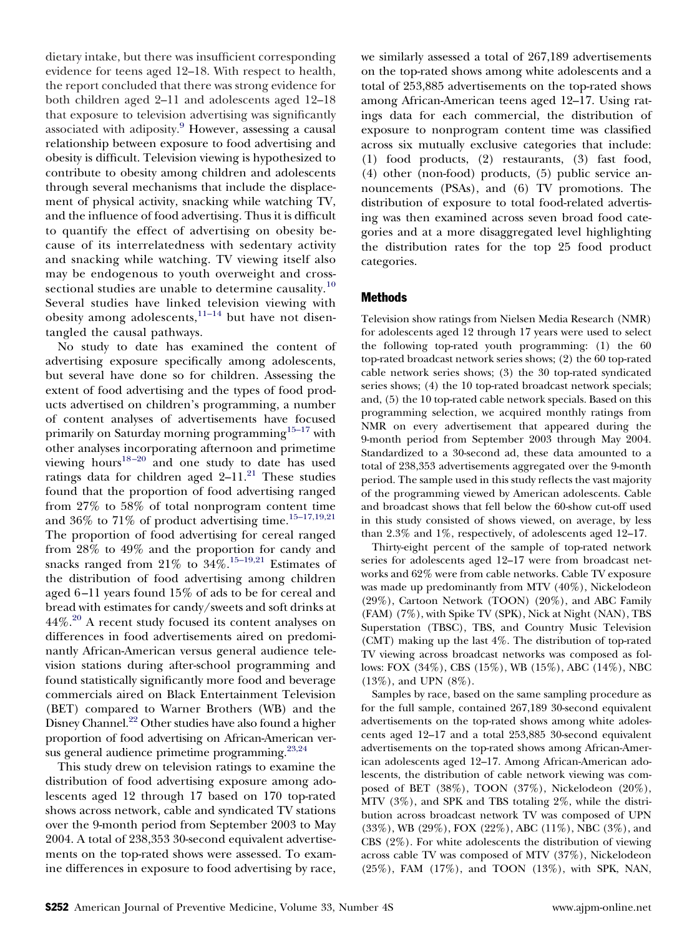dietary intake, but there was insufficient corresponding evidence for teens aged 12–18. With respect to health, the report concluded that there was strong evidence for both children aged 2–11 and adolescents aged 12–18 that exposure to television advertising was significantly associated with adiposity.<sup>[9](#page-5-0)</sup> However, assessing a causal relationship between exposure to food advertising and obesity is difficult. Television viewing is hypothesized to contribute to obesity among children and adolescents through several mechanisms that include the displacement of physical activity, snacking while watching TV, and the influence of food advertising. Thus it is difficult to quantify the effect of advertising on obesity because of its interrelatedness with sedentary activity and snacking while watching. TV viewing itself also may be endogenous to youth overweight and crosssectional studies are unable to determine causality. $10$ Several studies have linked television viewing with obesity among adolescents,  $11-14$  but have not disentangled the causal pathways.

No study to date has examined the content of advertising exposure specifically among adolescents, but several have done so for children. Assessing the extent of food advertising and the types of food products advertised on children's programming, a number of content analyses of advertisements have focused primarily on Saturday morning programming $15-17$  with other analyses incorporating afternoon and primetime viewing hours $18-20$  and one study to date has used ratings data for children aged  $2-11$ .<sup>[21](#page-5-0)</sup> These studies found that the proportion of food advertising ranged from 27% to 58% of total nonprogram content time and 36% to 71% of product advertising time.<sup>15-17,19,21</sup> The proportion of food advertising for cereal ranged from 28% to 49% and the proportion for candy and snacks ranged from  $21\%$  to  $34\%.$ <sup>[15–19,21](#page-5-0)</sup> Estimates of the distribution of food advertising among children aged 6 –11 years found 15% of ads to be for cereal and bread with estimates for candy/sweets and soft drinks at 44%.<sup>[20](#page-5-0)</sup> A recent study focused its content analyses on differences in food advertisements aired on predominantly African-American versus general audience television stations during after-school programming and found statistically significantly more food and beverage commercials aired on Black Entertainment Television (BET) compared to Warner Brothers (WB) and the Disney Channel.<sup>22</sup> Other studies have also found a higher proportion of food advertising on African-American versus general audience primetime programming.<sup>23,24</sup>

This study drew on television ratings to examine the distribution of food advertising exposure among adolescents aged 12 through 17 based on 170 top-rated shows across network, cable and syndicated TV stations over the 9-month period from September 2003 to May 2004. A total of 238,353 30-second equivalent advertisements on the top-rated shows were assessed. To examine differences in exposure to food advertising by race,

we similarly assessed a total of 267,189 advertisements on the top-rated shows among white adolescents and a total of 253,885 advertisements on the top-rated shows among African-American teens aged 12–17. Using ratings data for each commercial, the distribution of exposure to nonprogram content time was classified across six mutually exclusive categories that include: (1) food products, (2) restaurants, (3) fast food, (4) other (non-food) products, (5) public service announcements (PSAs), and (6) TV promotions. The distribution of exposure to total food-related advertising was then examined across seven broad food categories and at a more disaggregated level highlighting the distribution rates for the top 25 food product categories.

#### Methods

Television show ratings from Nielsen Media Research (NMR) for adolescents aged 12 through 17 years were used to select the following top-rated youth programming: (1) the 60 top-rated broadcast network series shows; (2) the 60 top-rated cable network series shows; (3) the 30 top-rated syndicated series shows; (4) the 10 top-rated broadcast network specials; and, (5) the 10 top-rated cable network specials. Based on this programming selection, we acquired monthly ratings from NMR on every advertisement that appeared during the 9-month period from September 2003 through May 2004. Standardized to a 30-second ad, these data amounted to a total of 238,353 advertisements aggregated over the 9-month period. The sample used in this study reflects the vast majority of the programming viewed by American adolescents. Cable and broadcast shows that fell below the 60-show cut-off used in this study consisted of shows viewed, on average, by less than 2.3% and 1%, respectively, of adolescents aged 12–17.

Thirty-eight percent of the sample of top-rated network series for adolescents aged 12–17 were from broadcast networks and 62% were from cable networks. Cable TV exposure was made up predominantly from MTV (40%), Nickelodeon (29%), Cartoon Network (TOON) (20%), and ABC Family (FAM) (7%), with Spike TV (SPK), Nick at Night (NAN), TBS Superstation (TBSC), TBS, and Country Music Television (CMT) making up the last 4%. The distribution of top-rated TV viewing across broadcast networks was composed as follows: FOX (34%), CBS (15%), WB (15%), ABC (14%), NBC (13%), and UPN (8%).

Samples by race, based on the same sampling procedure as for the full sample, contained 267,189 30-second equivalent advertisements on the top-rated shows among white adolescents aged 12–17 and a total 253,885 30-second equivalent advertisements on the top-rated shows among African-American adolescents aged 12–17. Among African-American adolescents, the distribution of cable network viewing was composed of BET (38%), TOON (37%), Nickelodeon (20%), MTV (3%), and SPK and TBS totaling 2%, while the distribution across broadcast network TV was composed of UPN (33%), WB (29%), FOX (22%), ABC (11%), NBC (3%), and CBS (2%). For white adolescents the distribution of viewing across cable TV was composed of MTV (37%), Nickelodeon (25%), FAM (17%), and TOON (13%), with SPK, NAN,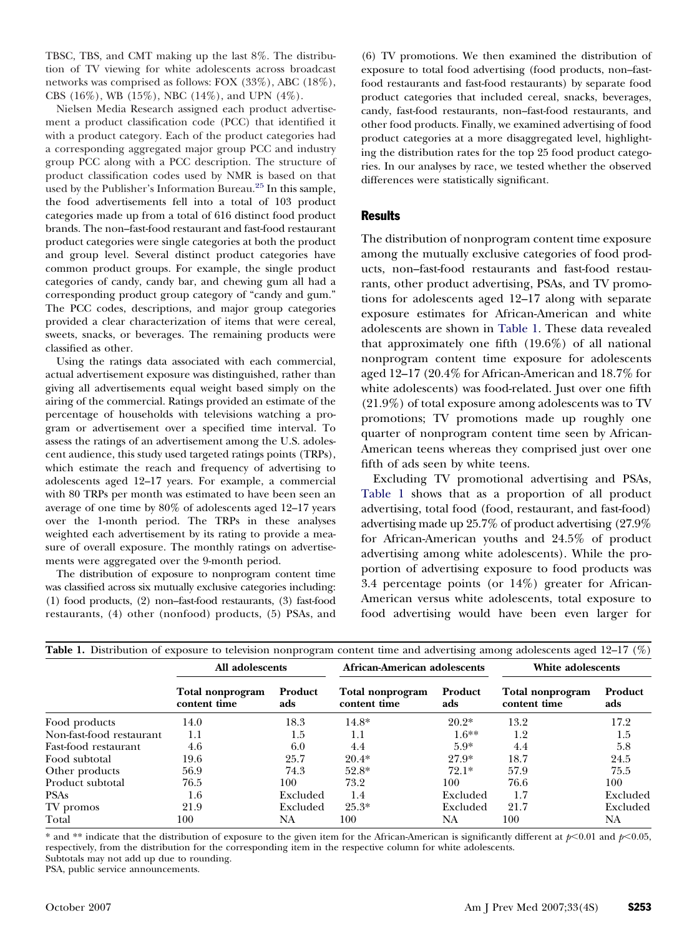TBSC, TBS, and CMT making up the last 8%. The distribution of TV viewing for white adolescents across broadcast networks was comprised as follows: FOX (33%), ABC (18%), CBS (16%), WB (15%), NBC (14%), and UPN (4%).

Nielsen Media Research assigned each product advertisement a product classification code (PCC) that identified it with a product category. Each of the product categories had a corresponding aggregated major group PCC and industry group PCC along with a PCC description. The structure of product classification codes used by NMR is based on that used by the Publisher's Information Bureau.<sup>25</sup> In this sample, the food advertisements fell into a total of 103 product categories made up from a total of 616 distinct food product brands. The non–fast-food restaurant and fast-food restaurant product categories were single categories at both the product and group level. Several distinct product categories have common product groups. For example, the single product categories of candy, candy bar, and chewing gum all had a corresponding product group category of "candy and gum." The PCC codes, descriptions, and major group categories provided a clear characterization of items that were cereal, sweets, snacks, or beverages. The remaining products were classified as other.

Using the ratings data associated with each commercial, actual advertisement exposure was distinguished, rather than giving all advertisements equal weight based simply on the airing of the commercial. Ratings provided an estimate of the percentage of households with televisions watching a program or advertisement over a specified time interval. To assess the ratings of an advertisement among the U.S. adolescent audience, this study used targeted ratings points (TRPs), which estimate the reach and frequency of advertising to adolescents aged 12–17 years. For example, a commercial with 80 TRPs per month was estimated to have been seen an average of one time by 80% of adolescents aged 12–17 years over the 1-month period. The TRPs in these analyses weighted each advertisement by its rating to provide a measure of overall exposure. The monthly ratings on advertisements were aggregated over the 9-month period.

The distribution of exposure to nonprogram content time was classified across six mutually exclusive categories including: (1) food products, (2) non–fast-food restaurants, (3) fast-food restaurants, (4) other (nonfood) products, (5) PSAs, and

(6) TV promotions. We then examined the distribution of exposure to total food advertising (food products, non–fastfood restaurants and fast-food restaurants) by separate food product categories that included cereal, snacks, beverages, candy, fast-food restaurants, non–fast-food restaurants, and other food products. Finally, we examined advertising of food product categories at a more disaggregated level, highlighting the distribution rates for the top 25 food product categories. In our analyses by race, we tested whether the observed differences were statistically significant.

### **Results**

The distribution of nonprogram content time exposure among the mutually exclusive categories of food products, non–fast-food restaurants and fast-food restaurants, other product advertising, PSAs, and TV promotions for adolescents aged 12–17 along with separate exposure estimates for African-American and white adolescents are shown in Table 1. These data revealed that approximately one fifth (19.6%) of all national nonprogram content time exposure for adolescents aged 12–17 (20.4% for African-American and 18.7% for white adolescents) was food-related. Just over one fifth (21.9%) of total exposure among adolescents was to TV promotions; TV promotions made up roughly one quarter of nonprogram content time seen by African-American teens whereas they comprised just over one fifth of ads seen by white teens.

Excluding TV promotional advertising and PSAs, Table 1 shows that as a proportion of all product advertising, total food (food, restaurant, and fast-food) advertising made up 25.7% of product advertising (27.9% for African-American youths and 24.5% of product advertising among white adolescents). While the proportion of advertising exposure to food products was 3.4 percentage points (or 14%) greater for African-American versus white adolescents, total exposure to food advertising would have been even larger for

| <b>Table 1.</b> Distribution of exposure to television nonprogram content time and advertising among adolescents aged 12–17 $(\%)$ |                                  |                |                                  |                |                                  |                |  |  |  |
|------------------------------------------------------------------------------------------------------------------------------------|----------------------------------|----------------|----------------------------------|----------------|----------------------------------|----------------|--|--|--|
|                                                                                                                                    | All adolescents                  |                | African-American adolescents     |                | White adolescents                |                |  |  |  |
|                                                                                                                                    | Total nonprogram<br>content time | Product<br>ads | Total nonprogram<br>content time | Product<br>ads | Total nonprogram<br>content time | Product<br>ads |  |  |  |
| Food products                                                                                                                      | 14.0                             | 18.3           | $14.8*$                          | $20.2*$        | 13.2                             | 17.2           |  |  |  |
| Non-fast-food restaurant                                                                                                           | 1.1                              | 1.5            | 1.1                              | $1.6**$        | 1.2                              | 1.5            |  |  |  |
| Fast-food restaurant                                                                                                               | 4.6                              | 6.0            | 4.4                              | $5.9*$         | 4.4                              | 5.8            |  |  |  |
| Food subtotal                                                                                                                      | 19.6                             | 25.7           | $20.4*$                          | $27.9*$        | 18.7                             | 24.5           |  |  |  |
| Other products                                                                                                                     | 56.9                             | 74.3           | $52.8*$                          | $72.1*$        | 57.9                             | 75.5           |  |  |  |
| Product subtotal                                                                                                                   | 76.5                             | 100            | 73.2                             | 100            | 76.6                             | 100            |  |  |  |
| <b>PSAs</b>                                                                                                                        | $1.6\,$                          | Excluded       | 1.4                              | Excluded       | 1.7                              | Excluded       |  |  |  |
| TV promos                                                                                                                          | 21.9                             | Excluded       | $25.3*$                          | Excluded       | 21.7                             | Excluded       |  |  |  |
| Total                                                                                                                              | 100                              | NA             | 100                              | NA             | 100                              | NA             |  |  |  |

\* and \*\* indicate that the distribution of exposure to the given item for the African-American is significantly different at  $p<0.01$  and  $p<0.05$ , respectively, from the distribution for the corresponding item in the respective column for white adolescents. Subtotals may not add up due to rounding.

PSA, public service announcements.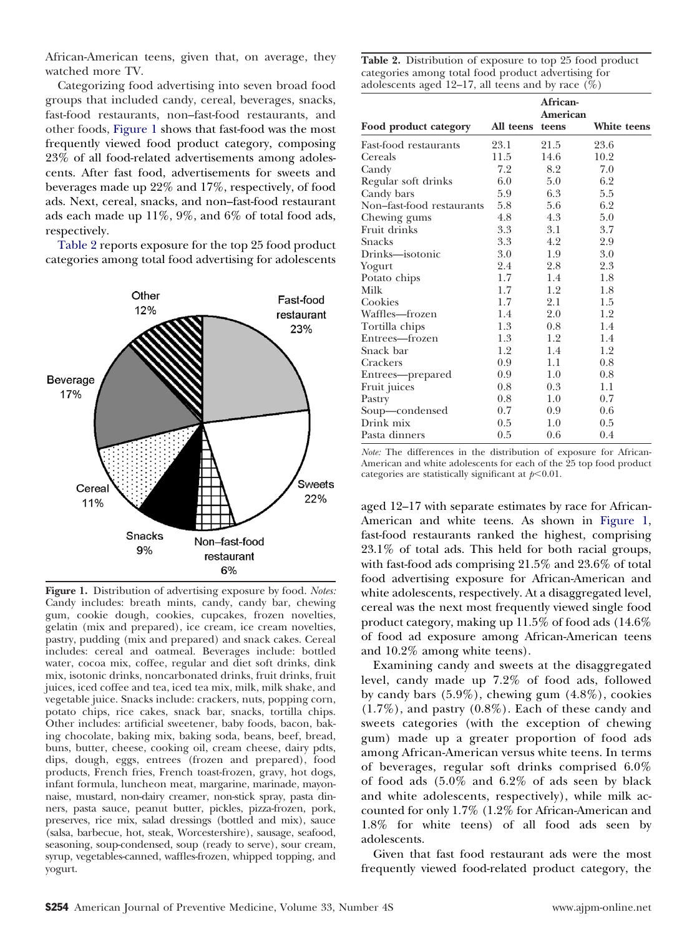African-American teens, given that, on average, they watched more TV.

Categorizing food advertising into seven broad food groups that included candy, cereal, beverages, snacks, fast-food restaurants, non–fast-food restaurants, and other foods, Figure 1 shows that fast-food was the most frequently viewed food product category, composing 23% of all food-related advertisements among adolescents. After fast food, advertisements for sweets and beverages made up 22% and 17%, respectively, of food ads. Next, cereal, snacks, and non–fast-food restaurant ads each made up 11%, 9%, and 6% of total food ads, respectively.

Table 2 reports exposure for the top 25 food product categories among total food advertising for adolescents



**Figure 1.** Distribution of advertising exposure by food. *Notes:* Candy includes: breath mints, candy, candy bar, chewing gum, cookie dough, cookies, cupcakes, frozen novelties, gelatin (mix and prepared), ice cream, ice cream novelties, pastry, pudding (mix and prepared) and snack cakes. Cereal includes: cereal and oatmeal. Beverages include: bottled water, cocoa mix, coffee, regular and diet soft drinks, dink mix, isotonic drinks, noncarbonated drinks, fruit drinks, fruit juices, iced coffee and tea, iced tea mix, milk, milk shake, and vegetable juice. Snacks include: crackers, nuts, popping corn, potato chips, rice cakes, snack bar, snacks, tortilla chips. Other includes: artificial sweetener, baby foods, bacon, baking chocolate, baking mix, baking soda, beans, beef, bread, buns, butter, cheese, cooking oil, cream cheese, dairy pdts, dips, dough, eggs, entrees (frozen and prepared), food products, French fries, French toast-frozen, gravy, hot dogs, infant formula, luncheon meat, margarine, marinade, mayonnaise, mustard, non-dairy creamer, non-stick spray, pasta dinners, pasta sauce, peanut butter, pickles, pizza-frozen, pork, preserves, rice mix, salad dressings (bottled and mix), sauce (salsa, barbecue, hot, steak, Worcestershire), sausage, seafood, seasoning, soup-condensed, soup (ready to serve), sour cream, syrup, vegetables-canned, waffles-frozen, whipped topping, and yogurt.

| Table 2. Distribution of exposure to top 25 food product |
|----------------------------------------------------------|
| categories among total food product advertising for      |
| adolescents aged 12–17, all teens and by race $(\%)$     |

|                           |           | African-<br>American |             |
|---------------------------|-----------|----------------------|-------------|
| Food product category     | All teens | teens                | White teens |
| Fast-food restaurants     | 23.1      | 21.5                 | 23.6        |
| Cereals                   | 11.5      | 14.6                 | 10.2        |
| Candy                     | 7.2       | 8.2                  | 7.0         |
| Regular soft drinks       | 6.0       | 5.0                  | 6.2         |
| Candy bars                | 5.9       | 6.3                  | 5.5         |
| Non-fast-food restaurants | 5.8       | 5.6                  | 6.2         |
| Chewing gums              | 4.8       | 4.3                  | 5.0         |
| Fruit drinks              | 3.3       | 3.1                  | 3.7         |
| Snacks                    | 3.3       | 4.2                  | 2.9         |
| Drinks—isotonic           | 3.0       | 1.9                  | 3.0         |
| Yogurt                    | 2.4       | 2.8                  | 2.3         |
| Potato chips              | 1.7       | 1.4                  | 1.8         |
| Milk                      | 1.7       | 1.2                  | 1.8         |
| Cookies                   | 1.7       | 2.1                  | 1.5         |
| Waffles-frozen            | 1.4       | 2.0                  | 1.2         |
| Tortilla chips            | 1.3       | 0.8                  | 1.4         |
| Entrees—frozen            | 1.3       | 1.2                  | 1.4         |
| Snack bar                 | 1.2       | 1.4                  | 1.2         |
| Crackers                  | 0.9       | 1.1                  | 0.8         |
| Entrees—prepared          | 0.9       | 1.0                  | 0.8         |
| Fruit juices              | 0.8       | 0.3                  | 1.1         |
| Pastry                    | 0.8       | 1.0                  | 0.7         |
| Soup-condensed            | 0.7       | 0.9                  | 0.6         |
| Drink mix                 | 0.5       | 1.0                  | 0.5         |
| Pasta dinners             | 0.5       | 0.6                  | 0.4         |

*Note:* The differences in the distribution of exposure for African-American and white adolescents for each of the 25 top food product categories are statistically significant at  $p<0.01$ .

aged 12–17 with separate estimates by race for African-American and white teens. As shown in Figure 1, fast-food restaurants ranked the highest, comprising 23.1% of total ads. This held for both racial groups, with fast-food ads comprising 21.5% and 23.6% of total food advertising exposure for African-American and white adolescents, respectively. At a disaggregated level, cereal was the next most frequently viewed single food product category, making up 11.5% of food ads (14.6% of food ad exposure among African-American teens and 10.2% among white teens).

Examining candy and sweets at the disaggregated level, candy made up 7.2% of food ads, followed by candy bars (5.9%), chewing gum (4.8%), cookies (1.7%), and pastry (0.8%). Each of these candy and sweets categories (with the exception of chewing gum) made up a greater proportion of food ads among African-American versus white teens. In terms of beverages, regular soft drinks comprised 6.0% of food ads (5.0% and 6.2% of ads seen by black and white adolescents, respectively), while milk accounted for only 1.7% (1.2% for African-American and 1.8% for white teens) of all food ads seen by adolescents.

Given that fast food restaurant ads were the most frequently viewed food-related product category, the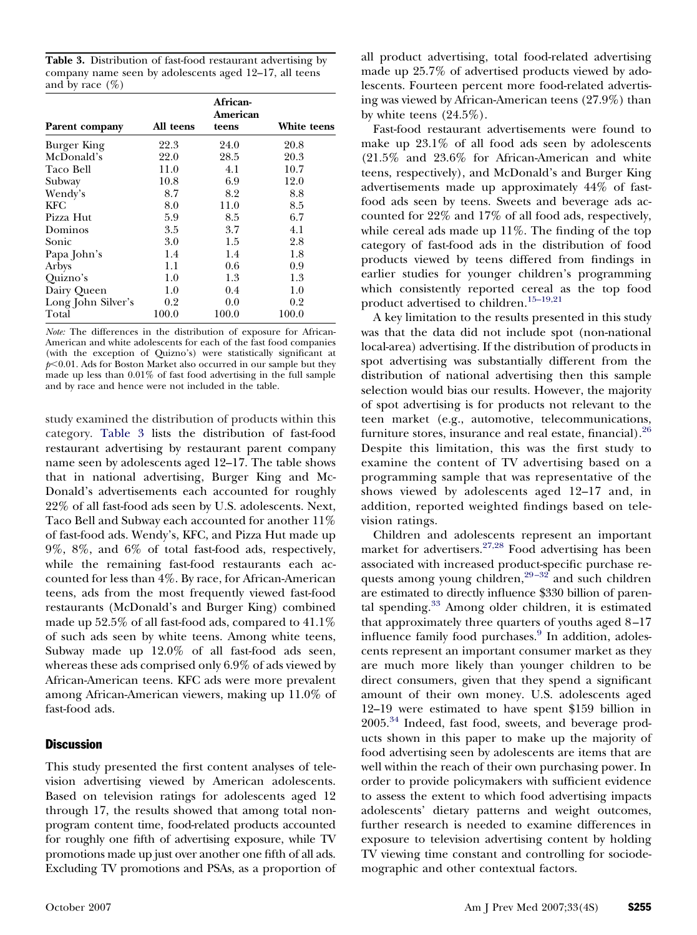**Table 3.** Distribution of fast-food restaurant advertising by company name seen by adolescents aged 12–17, all teens and by race  $(\%)$ 

|                    |           | African-<br>American |             |
|--------------------|-----------|----------------------|-------------|
| Parent company     | All teens | teens                | White teens |
| Burger King        | 22.3      | 24.0                 | 20.8        |
| McDonald's         | 22.0      | 28.5                 | 20.3        |
| Taco Bell          | 11.0      | 4.1                  | 10.7        |
| Subway             | 10.8      | 6.9                  | 12.0        |
| Wendy's            | 8.7       | 8.2                  | 8.8         |
| KFC                | 8.0       | 11.0                 | 8.5         |
| Pizza Hut          | 5.9       | 8.5                  | 6.7         |
| Dominos            | 3.5       | 3.7                  | 4.1         |
| Sonic              | 3.0       | 1.5                  | 2.8         |
| Papa John's        | 1.4       | 1.4                  | 1.8         |
| Arbys              | 1.1       | 0.6                  | 0.9         |
| Quizno's           | 1.0       | 1.3                  | 1.3         |
| Dairy Queen        | 1.0       | 0.4                  | 1.0         |
| Long John Silver's | 0.2       | 0.0                  | 0.2         |
| Total              | 100.0     | 100.0                | 100.0       |

*Note:* The differences in the distribution of exposure for African-American and white adolescents for each of the fast food companies (with the exception of Quizno's) were statistically significant at  $p<0.01$ . Ads for Boston Market also occurred in our sample but they made up less than 0.01% of fast food advertising in the full sample and by race and hence were not included in the table.

study examined the distribution of products within this category. Table 3 lists the distribution of fast-food restaurant advertising by restaurant parent company name seen by adolescents aged 12–17. The table shows that in national advertising, Burger King and Mc-Donald's advertisements each accounted for roughly 22% of all fast-food ads seen by U.S. adolescents. Next, Taco Bell and Subway each accounted for another 11% of fast-food ads. Wendy's, KFC, and Pizza Hut made up 9%, 8%, and 6% of total fast-food ads, respectively, while the remaining fast-food restaurants each accounted for less than 4%. By race, for African-American teens, ads from the most frequently viewed fast-food restaurants (McDonald's and Burger King) combined made up 52.5% of all fast-food ads, compared to 41.1% of such ads seen by white teens. Among white teens, Subway made up 12.0% of all fast-food ads seen, whereas these ads comprised only 6.9% of ads viewed by African-American teens. KFC ads were more prevalent among African-American viewers, making up 11.0% of fast-food ads.

## **Discussion**

This study presented the first content analyses of television advertising viewed by American adolescents. Based on television ratings for adolescents aged 12 through 17, the results showed that among total nonprogram content time, food-related products accounted for roughly one fifth of advertising exposure, while TV promotions made up just over another one fifth of all ads. Excluding TV promotions and PSAs, as a proportion of all product advertising, total food-related advertising made up 25.7% of advertised products viewed by adolescents. Fourteen percent more food-related advertising was viewed by African-American teens (27.9%) than by white teens (24.5%).

Fast-food restaurant advertisements were found to make up 23.1% of all food ads seen by adolescents (21.5% and 23.6% for African-American and white teens, respectively), and McDonald's and Burger King advertisements made up approximately 44% of fastfood ads seen by teens. Sweets and beverage ads accounted for 22% and 17% of all food ads, respectively, while cereal ads made up 11%. The finding of the top category of fast-food ads in the distribution of food products viewed by teens differed from findings in earlier studies for younger children's programming which consistently reported cereal as the top food product advertised to children.[15–19,21](#page-5-0)

A key limitation to the results presented in this study was that the data did not include spot (non-national local-area) advertising. If the distribution of products in spot advertising was substantially different from the distribution of national advertising then this sample selection would bias our results. However, the majority of spot advertising is for products not relevant to the teen market (e.g., automotive, telecommunications, furniture stores, insurance and real estate, financial).<sup>[26](#page-5-0)</sup> Despite this limitation, this was the first study to examine the content of TV advertising based on a programming sample that was representative of the shows viewed by adolescents aged 12–17 and, in addition, reported weighted findings based on television ratings.

Children and adolescents represent an important market for advertisers.[27,28](#page-5-0) Food advertising has been associated with increased product-specific purchase requests among young children, $29-32$  and such children are estimated to directly influence \$330 billion of parental spending.[33](#page-5-0) Among older children, it is estimated that approximately three quarters of youths aged 8 –17 influence family food purchases.<sup>[9](#page-5-0)</sup> In addition, adolescents represent an important consumer market as they are much more likely than younger children to be direct consumers, given that they spend a significant amount of their own money. U.S. adolescents aged 12–19 were estimated to have spent \$159 billion in 2005.[34](#page-5-0) Indeed, fast food, sweets, and beverage products shown in this paper to make up the majority of food advertising seen by adolescents are items that are well within the reach of their own purchasing power. In order to provide policymakers with sufficient evidence to assess the extent to which food advertising impacts adolescents' dietary patterns and weight outcomes, further research is needed to examine differences in exposure to television advertising content by holding TV viewing time constant and controlling for sociodemographic and other contextual factors.